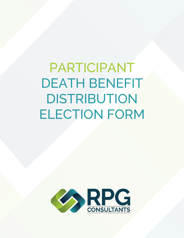PARTICIPANT DEATH BENEFIT DISTRIBUTION ELECTION FORM

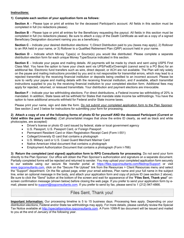#### **Instructions:**

### **1) Complete each section of your application form as follows:**

**Section A** – Please type or print all entries for the deceased Participant's account. All fields in this section must be completed in full (no redactions please).

**Section B** – Please type or print all entries for the Beneficiary requesting the payout. All fields in this section must be completed in full (no redactions please). Be sure to attach a copy of the Death Certificate as well as a copy of a signed Beneficiary Designation document naming you as a beneficiary.

**Section C** – Indicate your desired distribution elections: 1) Direct Distribution paid to you (taxes may apply), 2) Rollover to an IRA held in your name, or 3) Rollover to a Qualified Retirement Plan (QRP) account held in your name.

**Section D** – Indicate which Money Type(s) or Source(s) you would like distributed. Please complete a separate distribution election form for each unique Money Type/Source indicated in this section.

**Section E** – Indicate your payee and mailing details. All payments will be made by check and sent using USPS First Class Mail. You have the option to have your check sent via UPS/FedEx/Overnight (cannot send to a PO Box) for an additional fee. Electronic fund transfers such as wire, direct deposit, or ACH are not available. The Plan will rely solely on the payee and mailing instructions provided by you and is not responsible for transmittal errors, which may lead to a rejected transmittal by the receiving financial institution or deposits being credited to an incorrect account. Please be sure to verify your payee and mailing details with the receiving financial institution, and if available, attach transmittal instructions supplied to you by the receiving financial institution to your completed election form. Additional fees may apply for rejected, returned, or reissued transmittals. Your distribution and payment elections are irrevocable.

**Section F** – Indicate your tax withholding elections. For direct distributions, a Federal income tax withholding of 20% is mandated. In addition, State taxes will be withheld for States that mandate state income tax withholdings. You have the option to have additional amounts withheld for Federal and/or State income taxes.

Please print your name, sign and date the form. Do not submit your completed application form to the Plan Sponsor. See section 2 and 3 below for instructions for submitting your form for processing.

**2) Attach a copy of one of the following forms of photo ID for yourself AND the deceased Participant (Current or Valid within the past 6 months):** (Cell phone/tablet images that show the entire ID clearly, as well as black and white photocopies, are accepted)

- Driver's license or photo ID card issued by federal, state or local government agency
- U.S. Passport, U.S. Passport Card, or Foreign Passport
- Permanent Resident Card or Alien Registration Receipt Card (Form I-551)
- College/University ID card that contains a photograph
- U.S. Military card or U.S. Coast Guard Merchant Mariner Card
- Native American tribal document that contains a photograph
- Employment Authorization Document that contains a photograph (Form I-766)

**3) Return the completed (and signed) application form to RPG Consultants for processing**. Do not send your form directly to the Plan Sponsor. Our office will obtain the Plan Sponsor's authorization and signature on a separate document. Partially completed forms will be rejected and returned to sender. You may upload your completed application form securely to our website using our secure file transfer portal at https://files.rpgconsultants.com/filedrop/Support or visit www.rpgconsultants.com, click on the "Secure File Upload" link from the Resources > Client Resources menu and select the "Support" department. On the file upload page, enter your email address, Plan name and your full name in the subject line, enter an optional message in the body, and attach your application form and copy of picture ID (see section 2 above). Be sure to click the "Send" button at the bottom of the screen and wait for appearance of the "**Files Sent, Thank you!**" onscreen confirmation message (shown below) before closing the web page. If you prefer to send your application form by email, please send to support@rpgconsultants.com. If you prefer to send by fax, please send to 1 (212) 947-4866.

# Files Sent, Thank you!

**Important Information:** Our processing timeline is 5 to 15 business days. Processing fees apply. Depending on your distribution elections, Federal and/or State tax withholdings may apply. For more details, please carefully review the Special Tax Notice available at http://specialtaxnotice.rpgconsultants.com. A Form 1099-R tax document will be issued and mailed to you at the end of January of the following year.